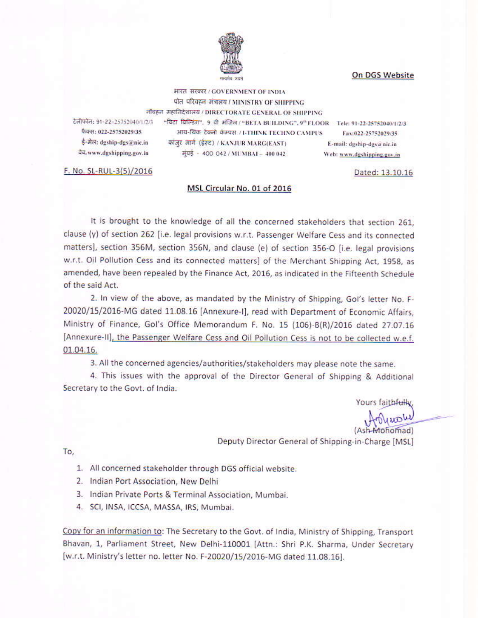### On DGS Website



भारत सरकार / GOVERNMENT OF INDIA पोत परिवहन मंत्रालय / MINISTRY OF SHIPPING नौवहन महानिदेशालय / DIRECTORATE GENERAL OF SHIPPING

टेलीफोन: 91-22-25752040/1/2/3 फैक्स: 022-25752029/35 ई-मेल: dgship-dgs@nic.in येच, www.dgshipping.gov.in

"बिटा बिल्डिंग", 9 वी मंजिल / "BETA BULDING", 9" FLOOR Tele: 91-22-25752040/1/2/3 आय-थिंक टेक्नो केम्पस / I-THINK TECHNO CAMPUS Fax:022-25752029/35 काँजुर मार्ग (ईस्ट) / KANJUR MARG(EAST) E-mail: dgship-dgs@nic.in मुंबई - 400 042 / MUMBAI - 400 042 Web: www.dgshipping.gov.in

F. No. SL-RUL-3(5)/2016

#### MSL Circular No. 01 of 2016

It is brought to the knowledge of all the concerned stakeholders that section 261. clause (y) of section 262 [i.e. legal provisions w.r.t. Passenger Welfare Cess and its connected matters], section 356M, section 356N, and clause (e) of section 356-O [i.e. legal provisions w.r.t. Oil Pollution Cess and its connected matters] of the Merchant Shipping Act, 1958, as amended, have been repealed by the Finance Act, 2016, as indicated in the Fifteenth Schedule of the said Act.

2. In view of the above, as mandated by the Ministry of Shipping, Gol's letter No. F-20020/15/2016-MG dated 11.08.16 [Annexure-I], read with Department of Economic Affairs, Ministry of Finance, Gol's Office Memorandum F. No. 15 (106)-B(R)/2016 dated 27.07.16 [Annexure-II], the Passenger Welfare Cess and Oil Pollution Cess is not to be collected w.e.f. 01.04.16.

3. All the concerned agencies/authorities/stakeholders may please note the same.

4. This issues with the approval of the Director General of Shipping & Additional Secretary to the Govt. of India.

Yours faithfully

Deputy Director General of Shipping-in-Charge [MSL]

To.

- 1. All concerned stakeholder through DGS official website.
- 2. Indian Port Association, New Delhi
- 3. Indian Private Ports & Terminal Association, Mumbai.
- 4. SCI, INSA, ICCSA, MASSA, IRS, Mumbai.

Copy for an information to: The Secretary to the Govt. of India, Ministry of Shipping, Transport Bhavan, 1, Parliament Street, New Delhi-110001 [Attn.: Shri P.K. Sharma, Under Secretary [w.r.t. Ministry's letter no. letter No. F-20020/15/2016-MG dated 11.08.16].

Dated: 13.10.16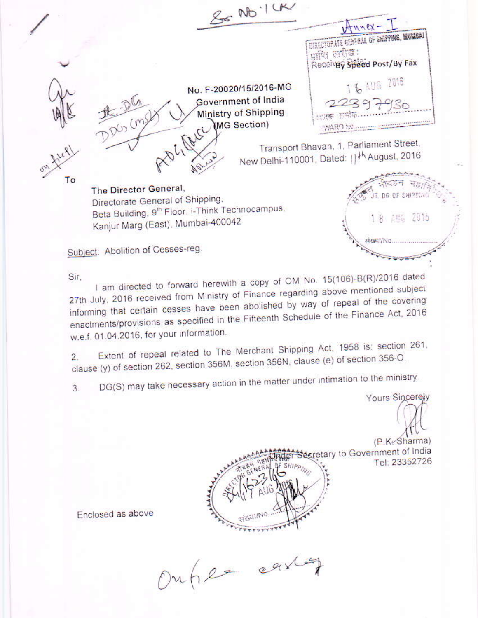$86010$  $x - y = m$ DIRECTORATE GENERAL OF SHIPPING, MUMBAI प्राणि सरीख: Receivev Speed Post/By Fax 1 % AUG 2016 No. F-20020/15/2016-MG Government of India 22397930 **Ministry of Shipping** MG Section) Transport Bhavan, 1, Parliament Street, New Delhi-110001, Dated: | | <sup>} }</sup> August, 2016 To The Director General, Directorate General of Shipping, Beta Building, 9<sup>th</sup> Floor, i-Think Technocampus,  $2016$ 麒麟 Kanjur Marg (East), Mumbai-400042 18 **FIGHT/NC** 

Subject: Abolition of Cesses-reg.

Sir.

I am directed to forward herewith a copy of OM No. 15(106)-B(R)/2016 dated 27th July, 2016 received from Ministry of Finance regarding above mentioned subject informing that certain cesses have been abolished by way of repeal of the covering enactments/provisions as specified in the Fifteenth Schedule of the Finance Act, 2016 w.e.f. 01.04.2016, for your information.

Extent of repeal related to The Merchant Shipping Act, 1958 is: section 261, clause (y) of section 262, section 356M, section 356N, clause (e) of section 356-O.

DG(S) may take necessary action in the matter under intimation to the ministry. 3

Yours Sincerely

(P.K. Sharma) ecretary to Government of India Tel: 23352726

Enclosed as above

Ouher carlos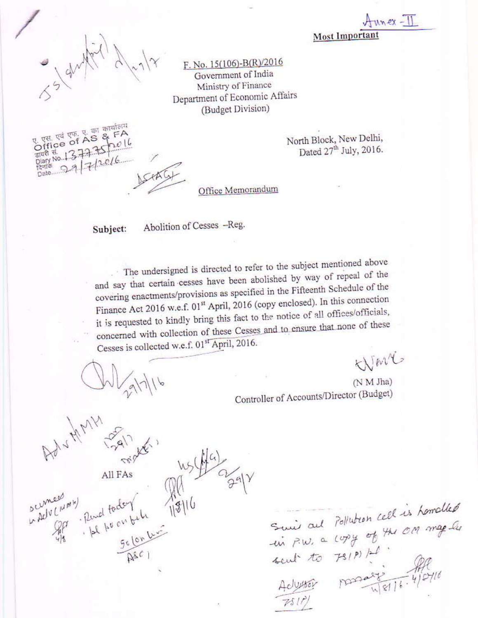$x - 11$ Most Imports

F. No. 15(106)-B(R)/2016 Government of India Ministry of Finance Department of Economic Affairs (Budget Division)

> North Block, New Delhi, Dated 27th July, 2016.

Office Memorandum

Subject:

Abolition of Cesses -Reg.

The undersigned is directed to refer to the subject mentioned above and say that certain cesses have been abolished by way of repeal of the covering enactments/provisions as specified in the Fifteenth Schedule of the Finance Act 2016 w.e.f. 01<sup>st</sup> April, 2016 (copy enclosed). In this connection it is requested to kindly bring this fact to the notice of all offices/officials, concerned with collection of these Cesses and to ensure that none of these Cesses is collected w.e.f. 01st April, 2016.

 $\alpha_{\text{gal}}$ 

All FAs

 $\frac{16}{100}$ <br>. Pund fodor bili 1916<br>. Asci

ocumed

La Acluciation 10)

WMC

(N M Jha) Controller of Accounts/Director (Budget)

Suis aut Pollution cell is homalled<br>in P.W. a copy of the one map les<br>sent to 731P) / fl<br>Adjuster possession 4/0116<br>PS1P)

एस. एवं एफ. ए. का कार्यालय Office of AS & FA